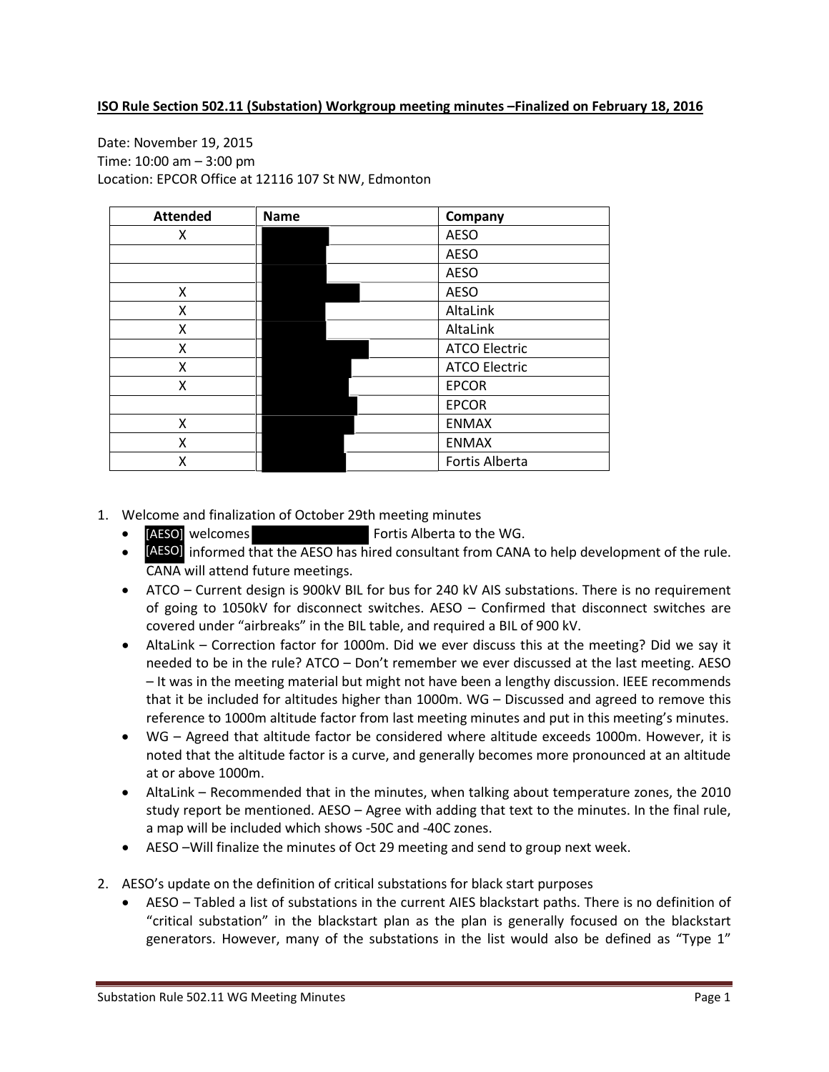## **ISO Rule Section 502.11 (Substation) Workgroup meeting minutes –Finalized on February 18, 2016**

Date: November 19, 2015 Time: 10:00 am – 3:00 pm Location: EPCOR Office at 12116 107 St NW, Edmonton

| <b>Attended</b> | <b>Name</b> | Company              |
|-----------------|-------------|----------------------|
| x               |             | <b>AESO</b>          |
|                 |             | <b>AESO</b>          |
|                 |             | <b>AESO</b>          |
| X               |             | <b>AESO</b>          |
| X               |             | AltaLink             |
| X               |             | AltaLink             |
| X               |             | <b>ATCO Electric</b> |
| X               |             | <b>ATCO Electric</b> |
| X               |             | <b>EPCOR</b>         |
|                 |             | <b>EPCOR</b>         |
| X               |             | <b>ENMAX</b>         |
| X               |             | <b>ENMAX</b>         |
| X               |             | Fortis Alberta       |

1. Welcome and finalization of October 29th meeting minutes

- Fortis Alberta to the WG. [AESO] welcomes
- **[AESO]** informed that the AESO has hired consultant from CANA to help development of the rule. CANA will attend future meetings.
- ATCO Current design is 900kV BIL for bus for 240 kV AIS substations. There is no requirement of going to 1050kV for disconnect switches. AESO – Confirmed that disconnect switches are covered under "airbreaks" in the BIL table, and required a BIL of 900 kV.
- AltaLink Correction factor for 1000m. Did we ever discuss this at the meeting? Did we say it needed to be in the rule? ATCO – Don't remember we ever discussed at the last meeting. AESO – It was in the meeting material but might not have been a lengthy discussion. IEEE recommends that it be included for altitudes higher than 1000m. WG – Discussed and agreed to remove this reference to 1000m altitude factor from last meeting minutes and put in this meeting's minutes.
- WG Agreed that altitude factor be considered where altitude exceeds 1000m. However, it is noted that the altitude factor is a curve, and generally becomes more pronounced at an altitude at or above 1000m.
- AltaLink Recommended that in the minutes, when talking about temperature zones, the 2010 study report be mentioned. AESO – Agree with adding that text to the minutes. In the final rule, a map will be included which shows -50C and -40C zones.
- AESO –Will finalize the minutes of Oct 29 meeting and send to group next week.
- 2. AESO's update on the definition of critical substations for black start purposes
	- AESO Tabled a list of substations in the current AIES blackstart paths. There is no definition of "critical substation" in the blackstart plan as the plan is generally focused on the blackstart generators. However, many of the substations in the list would also be defined as "Type 1"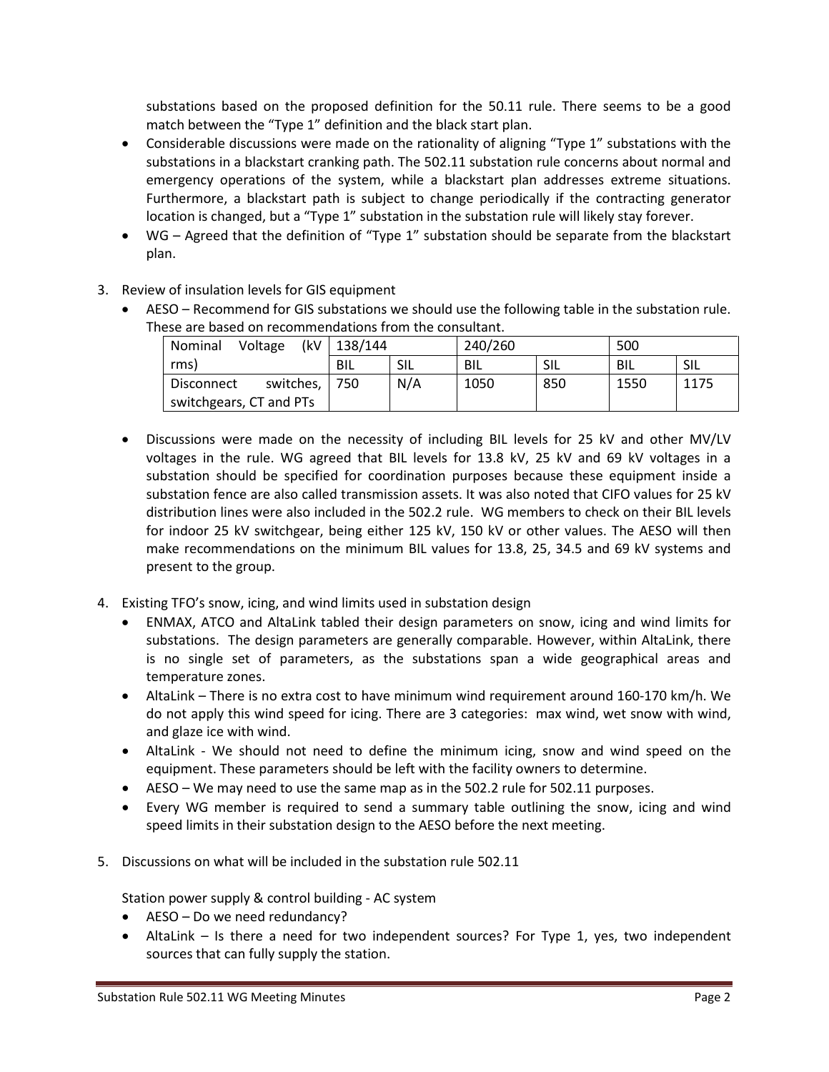substations based on the proposed definition for the 50.11 rule. There seems to be a good match between the "Type 1" definition and the black start plan.

- Considerable discussions were made on the rationality of aligning "Type 1" substations with the substations in a blackstart cranking path. The 502.11 substation rule concerns about normal and emergency operations of the system, while a blackstart plan addresses extreme situations. Furthermore, a blackstart path is subject to change periodically if the contracting generator location is changed, but a "Type 1" substation in the substation rule will likely stay forever.
- WG Agreed that the definition of "Type 1" substation should be separate from the blackstart plan.
- 3. Review of insulation levels for GIS equipment
	- AESO Recommend for GIS substations we should use the following table in the substation rule. These are based on recommendations from the consultant.

| (kV<br>Nominal<br>Voltage      | 138/144 |     | 240/260 |     | 500  |      |
|--------------------------------|---------|-----|---------|-----|------|------|
| rms)                           | BIL     | SIL | BIL     | SIL | BIL  | SIL  |
| switches,<br><b>Disconnect</b> | 750     | N/A | 1050    | 850 | 1550 | 1175 |
| switchgears, CT and PTs        |         |     |         |     |      |      |

- Discussions were made on the necessity of including BIL levels for 25 kV and other MV/LV voltages in the rule. WG agreed that BIL levels for 13.8 kV, 25 kV and 69 kV voltages in a substation should be specified for coordination purposes because these equipment inside a substation fence are also called transmission assets. It was also noted that CIFO values for 25 kV distribution lines were also included in the 502.2 rule. WG members to check on their BIL levels for indoor 25 kV switchgear, being either 125 kV, 150 kV or other values. The AESO will then make recommendations on the minimum BIL values for 13.8, 25, 34.5 and 69 kV systems and present to the group.
- 4. Existing TFO's snow, icing, and wind limits used in substation design
	- ENMAX, ATCO and AltaLink tabled their design parameters on snow, icing and wind limits for substations. The design parameters are generally comparable. However, within AltaLink, there is no single set of parameters, as the substations span a wide geographical areas and temperature zones.
	- AltaLink There is no extra cost to have minimum wind requirement around 160-170 km/h. We do not apply this wind speed for icing. There are 3 categories: max wind, wet snow with wind, and glaze ice with wind.
	- AltaLink We should not need to define the minimum icing, snow and wind speed on the equipment. These parameters should be left with the facility owners to determine.
	- AESO We may need to use the same map as in the 502.2 rule for 502.11 purposes.
	- Every WG member is required to send a summary table outlining the snow, icing and wind speed limits in their substation design to the AESO before the next meeting.
- 5. Discussions on what will be included in the substation rule 502.11

Station power supply & control building - AC system

- AESO Do we need redundancy?
- AltaLink Is there a need for two independent sources? For Type 1, yes, two independent sources that can fully supply the station.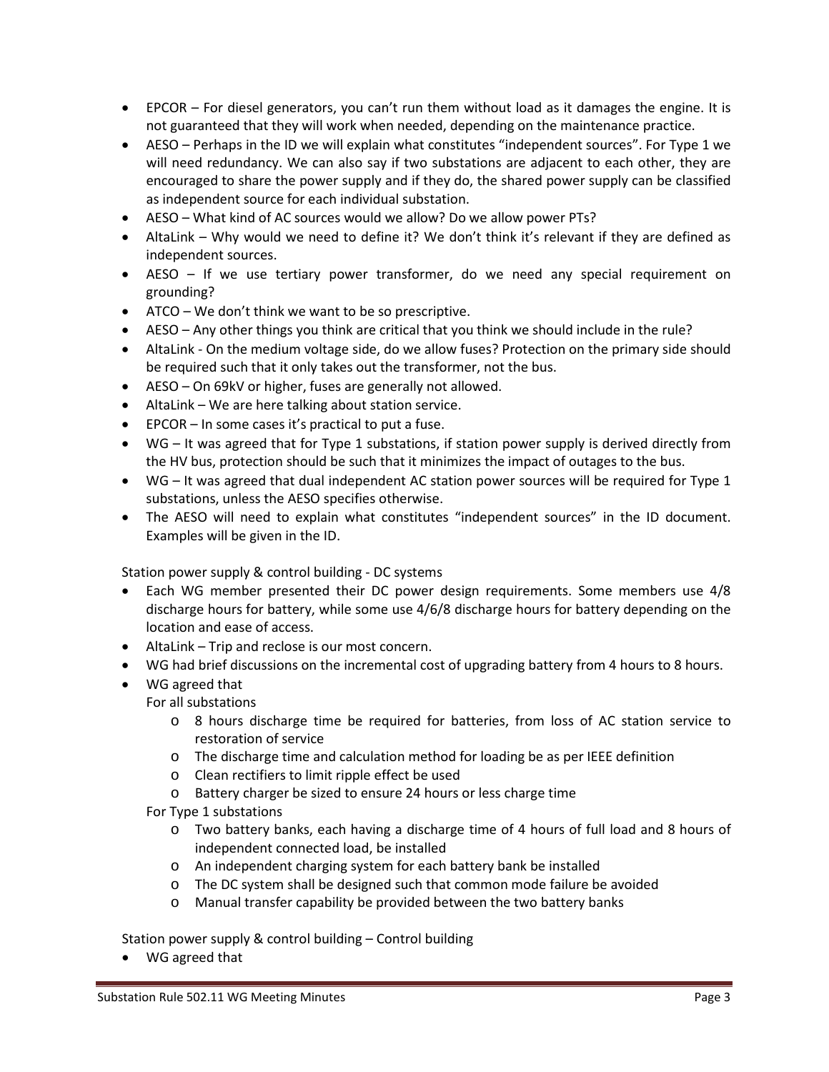- EPCOR For diesel generators, you can't run them without load as it damages the engine. It is not guaranteed that they will work when needed, depending on the maintenance practice.
- AESO Perhaps in the ID we will explain what constitutes "independent sources". For Type 1 we will need redundancy. We can also say if two substations are adjacent to each other, they are encouraged to share the power supply and if they do, the shared power supply can be classified as independent source for each individual substation.
- AESO What kind of AC sources would we allow? Do we allow power PTs?
- AltaLink Why would we need to define it? We don't think it's relevant if they are defined as independent sources.
- AESO If we use tertiary power transformer, do we need any special requirement on grounding?
- ATCO We don't think we want to be so prescriptive.
- AESO Any other things you think are critical that you think we should include in the rule?
- AltaLink On the medium voltage side, do we allow fuses? Protection on the primary side should be required such that it only takes out the transformer, not the bus.
- AESO On 69kV or higher, fuses are generally not allowed.
- AltaLink We are here talking about station service.
- EPCOR In some cases it's practical to put a fuse.
- WG It was agreed that for Type 1 substations, if station power supply is derived directly from the HV bus, protection should be such that it minimizes the impact of outages to the bus.
- WG It was agreed that dual independent AC station power sources will be required for Type 1 substations, unless the AESO specifies otherwise.
- The AESO will need to explain what constitutes "independent sources" in the ID document. Examples will be given in the ID.

Station power supply & control building - DC systems

- Each WG member presented their DC power design requirements. Some members use 4/8 discharge hours for battery, while some use 4/6/8 discharge hours for battery depending on the location and ease of access.
- AltaLink Trip and reclose is our most concern.
- WG had brief discussions on the incremental cost of upgrading battery from 4 hours to 8 hours.
- WG agreed that

For all substations

- o 8 hours discharge time be required for batteries, from loss of AC station service to restoration of service
- o The discharge time and calculation method for loading be as per IEEE definition
- o Clean rectifiers to limit ripple effect be used
- o Battery charger be sized to ensure 24 hours or less charge time
- For Type 1 substations
	- o Two battery banks, each having a discharge time of 4 hours of full load and 8 hours of independent connected load, be installed
	- o An independent charging system for each battery bank be installed
	- o The DC system shall be designed such that common mode failure be avoided
	- o Manual transfer capability be provided between the two battery banks

Station power supply & control building – Control building

• WG agreed that